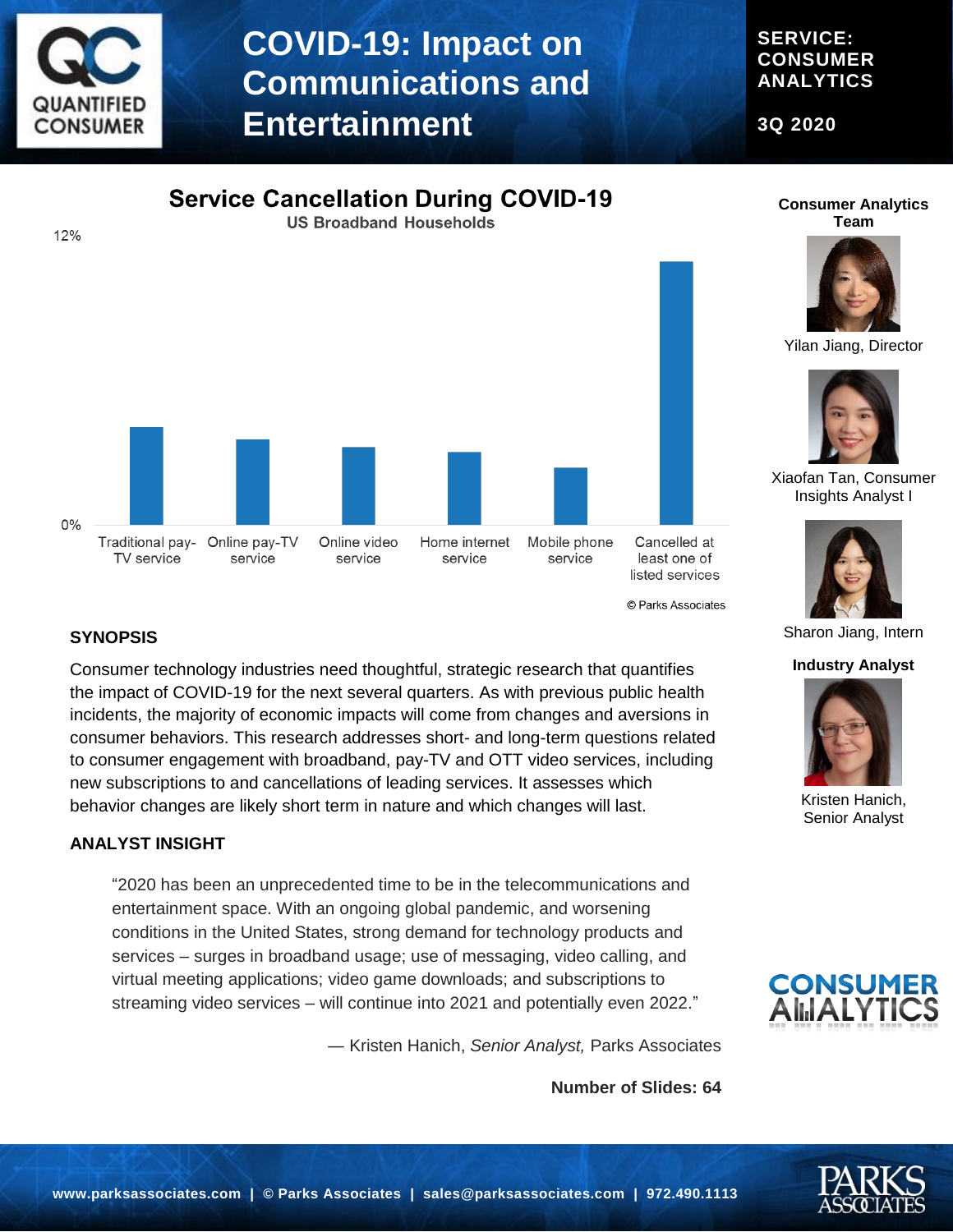

### **COVID-19: Impact on Communications and Entertainment**

**SERVICE: CONSUMER ANALYTICS**

**3Q 2020**





**Consumer Analytics Team**

Yilan Jiang, Director



Xiaofan Tan, Consumer Insights Analyst I



Sharon Jiang, Intern

#### **Industry Analyst**



Kristen Hanich, Senior Analyst



#### **SYNOPSIS**

Consumer technology industries need thoughtful, strategic research that quantifies the impact of COVID-19 for the next several quarters. As with previous public health incidents, the majority of economic impacts will come from changes and aversions in consumer behaviors. This research addresses short- and long-term questions related to consumer engagement with broadband, pay-TV and OTT video services, including new subscriptions to and cancellations of leading services. It assesses which behavior changes are likely short term in nature and which changes will last.

#### **ANALYST INSIGHT**

"2020 has been an unprecedented time to be in the telecommunications and entertainment space. With an ongoing global pandemic, and worsening conditions in the United States, strong demand for technology products and services – surges in broadband usage; use of messaging, video calling, and virtual meeting applications; video game downloads; and subscriptions to streaming video services – will continue into 2021 and potentially even 2022."

― Kristen Hanich, *Senior Analyst,* Parks Associates

**Number of Slides: 64**

© Parks Associates

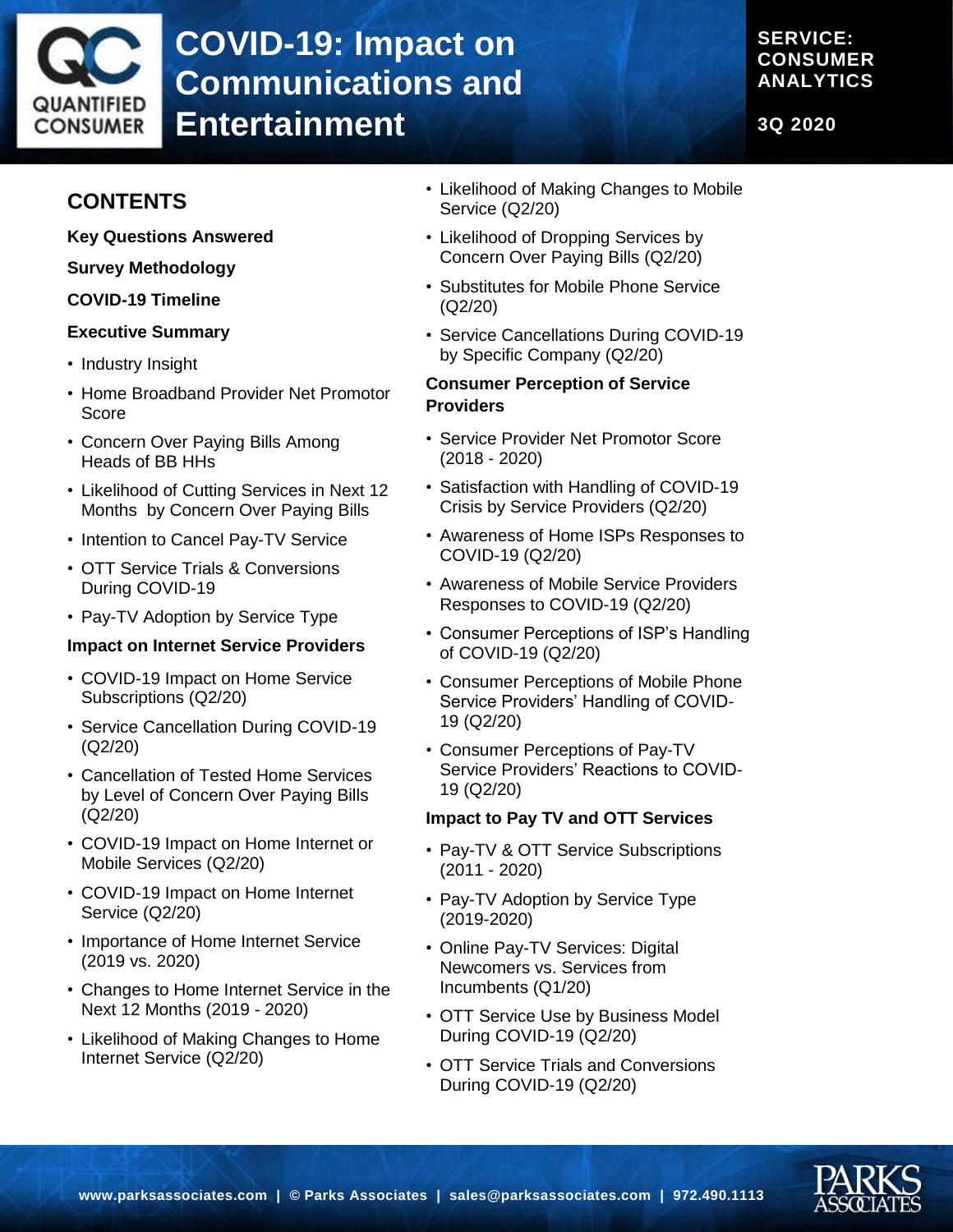# QUANTIFIED **CONSUMER**

## **COVID-19: Impact on Communications and Entertainment**

#### **SERVICE: CONSUMER ANALYTICS**

**3Q 2020**

### **CONTENTS**

**Key Questions Answered**

**Survey Methodology**

#### **COVID-19 Timeline**

#### **Executive Summary**

- Industry Insight
- Home Broadband Provider Net Promotor Score
- Concern Over Paying Bills Among Heads of BB HHs
- Likelihood of Cutting Services in Next 12 Months by Concern Over Paying Bills
- Intention to Cancel Pay-TV Service
- OTT Service Trials & Conversions During COVID-19
- Pay-TV Adoption by Service Type

#### **Impact on Internet Service Providers**

- COVID-19 Impact on Home Service Subscriptions (Q2/20)
- Service Cancellation During COVID-19 (Q2/20)
- Cancellation of Tested Home Services by Level of Concern Over Paying Bills (Q2/20)
- COVID-19 Impact on Home Internet or Mobile Services (Q2/20)
- COVID-19 Impact on Home Internet Service (Q2/20)
- Importance of Home Internet Service (2019 vs. 2020)
- Changes to Home Internet Service in the Next 12 Months (2019 - 2020)
- Likelihood of Making Changes to Home Internet Service (Q2/20)
- Likelihood of Making Changes to Mobile Service (Q2/20)
- Likelihood of Dropping Services by Concern Over Paying Bills (Q2/20)
- Substitutes for Mobile Phone Service (Q2/20)
- Service Cancellations During COVID-19 by Specific Company (Q2/20)

#### **Consumer Perception of Service Providers**

- Service Provider Net Promotor Score (2018 - 2020)
- Satisfaction with Handling of COVID-19 Crisis by Service Providers (Q2/20)
- Awareness of Home ISPs Responses to COVID-19 (Q2/20)
- Awareness of Mobile Service Providers Responses to COVID-19 (Q2/20)
- Consumer Perceptions of ISP's Handling of COVID-19 (Q2/20)
- Consumer Perceptions of Mobile Phone Service Providers' Handling of COVID-19 (Q2/20)
- Consumer Perceptions of Pay-TV Service Providers' Reactions to COVID-19 (Q2/20)

#### **Impact to Pay TV and OTT Services**

- Pay-TV & OTT Service Subscriptions (2011 - 2020)
- Pay-TV Adoption by Service Type (2019-2020)
- Online Pay-TV Services: Digital Newcomers vs. Services from Incumbents (Q1/20)
- OTT Service Use by Business Model During COVID-19 (Q2/20)
- OTT Service Trials and Conversions During COVID-19 (Q2/20)

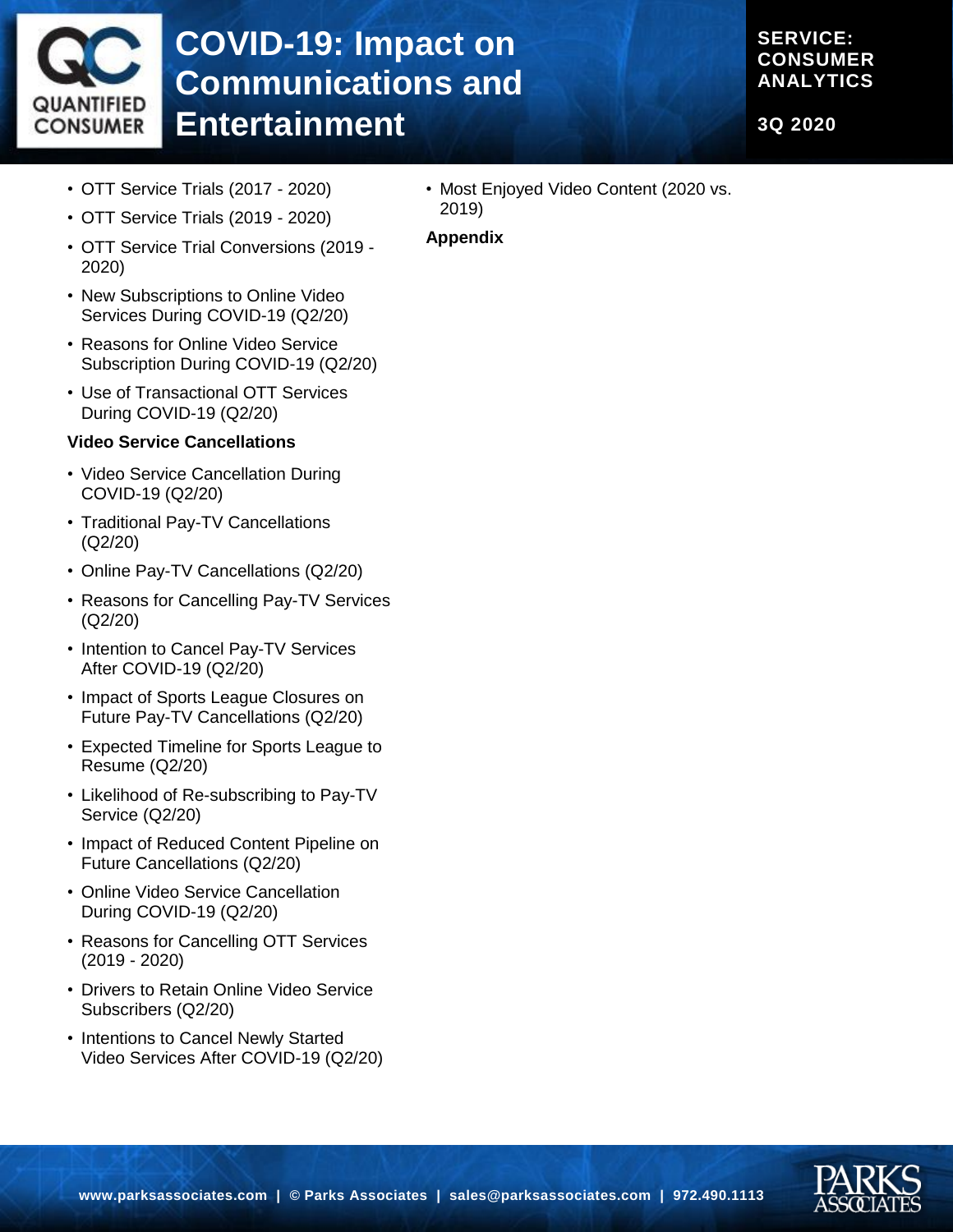

# **COVID-19: Impact on Communications and Entertainment**

#### **SERVICE: CONSUMER ANALYTICS**

**3Q 2020**

- OTT Service Trials (2017 2020)
- OTT Service Trials (2019 2020)
- OTT Service Trial Conversions (2019 2020)
- New Subscriptions to Online Video Services During COVID-19 (Q2/20)
- Reasons for Online Video Service Subscription During COVID-19 (Q2/20)
- Use of Transactional OTT Services During COVID-19 (Q2/20)

#### **Video Service Cancellations**

- Video Service Cancellation During COVID-19 (Q2/20)
- Traditional Pay-TV Cancellations (Q2/20)
- Online Pay-TV Cancellations (Q2/20)
- Reasons for Cancelling Pay-TV Services (Q2/20)
- Intention to Cancel Pay-TV Services After COVID-19 (Q2/20)
- Impact of Sports League Closures on Future Pay-TV Cancellations (Q2/20)
- Expected Timeline for Sports League to Resume (Q2/20)
- Likelihood of Re-subscribing to Pay-TV Service (Q2/20)
- Impact of Reduced Content Pipeline on Future Cancellations (Q2/20)
- Online Video Service Cancellation During COVID-19 (Q2/20)
- Reasons for Cancelling OTT Services (2019 - 2020)
- Drivers to Retain Online Video Service Subscribers (Q2/20)
- Intentions to Cancel Newly Started Video Services After COVID-19 (Q2/20)

• Most Enjoyed Video Content (2020 vs. 2019)

#### **Appendix**